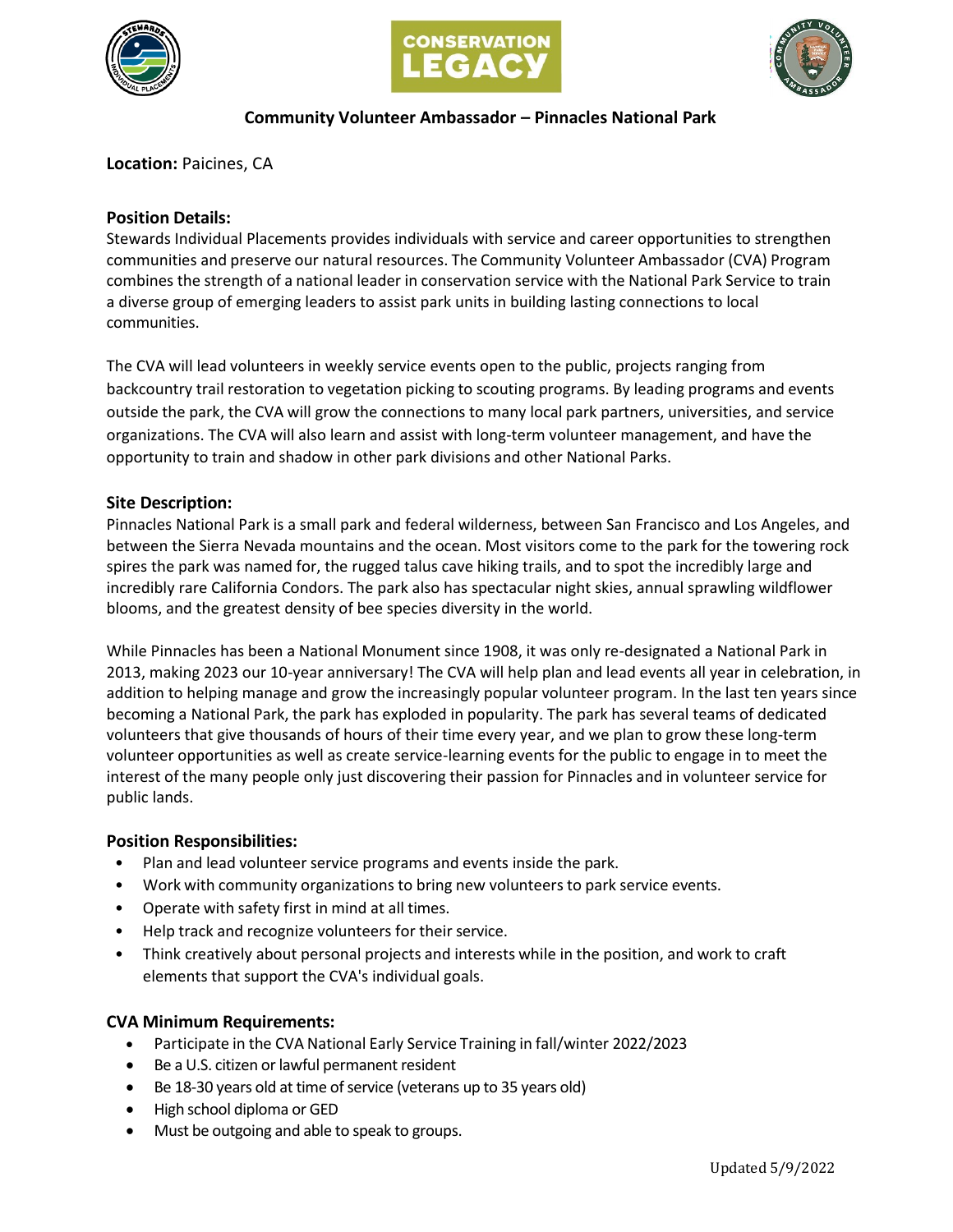





# **Community Volunteer Ambassador – Pinnacles National Park**

**Location:** Paicines, CA

# **Position Details:**

Stewards Individual Placements provides individuals with service and career opportunities to strengthen communities and preserve our natural resources. The Community Volunteer Ambassador (CVA) Program combines the strength of a national leader in conservation service with the National Park Service to train a diverse group of emerging leaders to assist park units in building lasting connections to local communities.

The CVA will lead volunteers in weekly service events open to the public, projects ranging from backcountry trail restoration to vegetation picking to scouting programs. By leading programs and events outside the park, the CVA will grow the connections to many local park partners, universities, and service organizations. The CVA will also learn and assist with long-term volunteer management, and have the opportunity to train and shadow in other park divisions and other National Parks.

## **Site Description:**

Pinnacles National Park is a small park and federal wilderness, between San Francisco and Los Angeles, and between the Sierra Nevada mountains and the ocean. Most visitors come to the park for the towering rock spires the park was named for, the rugged talus cave hiking trails, and to spot the incredibly large and incredibly rare California Condors. The park also has spectacular night skies, annual sprawling wildflower blooms, and the greatest density of bee species diversity in the world.

While Pinnacles has been a National Monument since 1908, it was only re-designated a National Park in 2013, making 2023 our 10-year anniversary! The CVA will help plan and lead events all year in celebration, in addition to helping manage and grow the increasingly popular volunteer program. In the last ten years since becoming a National Park, the park has exploded in popularity. The park has several teams of dedicated volunteers that give thousands of hours of their time every year, and we plan to grow these long-term volunteer opportunities as well as create service-learning events for the public to engage in to meet the interest of the many people only just discovering their passion for Pinnacles and in volunteer service for public lands.

## **Position Responsibilities:**

- Plan and lead volunteer service programs and events inside the park.
- Work with community organizations to bring new volunteers to park service events.
- Operate with safety first in mind at all times.
- Help track and recognize volunteers for their service.
- Think creatively about personal projects and interests while in the position, and work to craft elements that support the CVA's individual goals.

## **CVA Minimum Requirements:**

- Participate in the CVA National Early Service Training in fall/winter 2022/2023
- Be a U.S. citizen or lawful permanent resident
- $\bullet$  Be 18-30 years old at time of service (veterans up to 35 years old)
- High school diploma or GED
- Must be outgoing and able to speak to groups.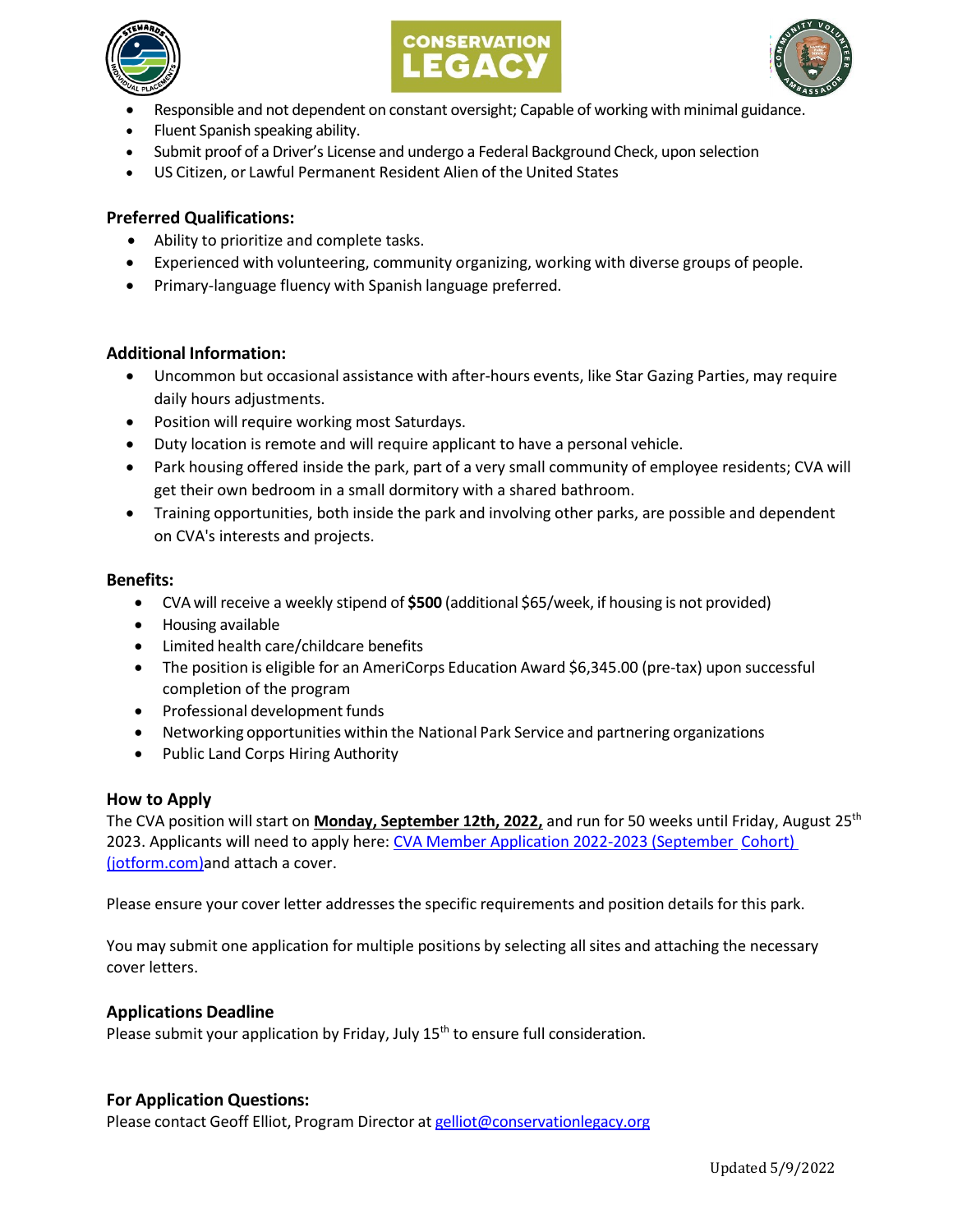





- Responsible and not dependent on constant oversight; Capable of working with minimal guidance.
- Fluent Spanish speaking ability.
- Submit proof of a Driver's License and undergo a Federal Background Check, upon selection
- US Citizen, or Lawful Permanent Resident Alien of the United States

# **Preferred Qualifications:**

- Ability to prioritize and complete tasks.
- Experienced with volunteering, community organizing, working with diverse groups of people.
- Primary-language fluency with Spanish language preferred.

## **Additional Information:**

- Uncommon but occasional assistance with after-hours events, like Star Gazing Parties, may require daily hours adjustments.
- Position will require working most Saturdays.
- Duty location is remote and will require applicant to have a personal vehicle.
- Park housing offered inside the park, part of a very small community of employee residents; CVA will get their own bedroom in a small dormitory with a shared bathroom.
- Training opportunities, both inside the park and involving other parks, are possible and dependent on CVA's interests and projects.

#### **Benefits:**

- CVA will receive a weekly stipend of **\$500** (additional \$65/week, if housing is not provided)
- Housing available
- Limited health care/childcare benefits
- The position is eligible for an AmeriCorps Education Award \$6,345.00 (pre-tax) upon successful completion of the program
- Professional development funds
- Networking opportunities within the National Park Service and partnering organizations
- Public Land Corps Hiring Authority

## **How to Apply**

The CVA position will start on **Monday, September 12th, 2022,** and run for 50 weeks until Friday, August 25th 2023. Applicants will need to apply here: [CVA Member Application 2022-2023 \(September Cohort\)](https://form.jotform.com/221255497395162)  [\(jotform.com\)a](https://form.jotform.com/221255497395162)nd attach a cover.

Please ensure your cover letter addresses the specific requirements and position details for this park.

You may submit one application for multiple positions by selecting allsites and attaching the necessary cover letters.

## **Applications Deadline**

Please submit your application by Friday, July  $15<sup>th</sup>$  to ensure full consideration.

## **For Application Questions:**

Please contact Geoff Elliot, Program Director at [gelliot@conservationlegacy.org](mailto:gelliot@conservationlegacy.org)